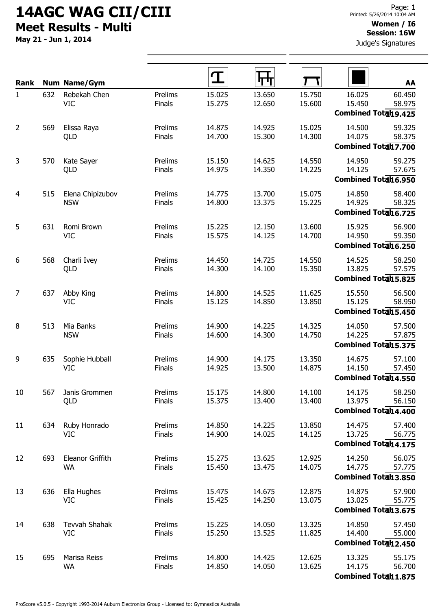## 14AGC WAG CII/CIII Meet Results - Multi

May 21 - Jun 1, 2014

Judge's Signatures

| Rank           |     | <b>Num Name/Gym</b>                |                   |                  |                  |                  |                                                 | AA               |
|----------------|-----|------------------------------------|-------------------|------------------|------------------|------------------|-------------------------------------------------|------------------|
| $\mathbf{1}$   | 632 | Rebekah Chen<br><b>VIC</b>         | Prelims<br>Finals | 15.025<br>15.275 | 13.650<br>12.650 | 15.750<br>15.600 | 16.025<br>15.450<br>Combined Totah 9.425        | 60.450<br>58.975 |
| $\overline{2}$ | 569 | Elissa Raya<br>QLD                 | Prelims<br>Finals | 14.875<br>14.700 | 14.925<br>15.300 | 15.025<br>14.300 | 14.500<br>14.075<br><b>Combined Total17.700</b> | 59.325<br>58.375 |
| 3              | 570 | Kate Sayer<br>QLD                  | Prelims<br>Finals | 15.150<br>14.975 | 14.625<br>14.350 | 14.550<br>14.225 | 14.950<br>14.125<br>Combined Totah 6.950        | 59.275<br>57.675 |
| 4              | 515 | Elena Chipizubov<br><b>NSW</b>     | Prelims<br>Finals | 14.775<br>14.800 | 13.700<br>13.375 | 15.075<br>15.225 | 14.850<br>14.925<br>Combined Totah 6.725        | 58.400<br>58.325 |
| 5              | 631 | Romi Brown<br><b>VIC</b>           | Prelims<br>Finals | 15.225<br>15.575 | 12.150<br>14.125 | 13.600<br>14.700 | 15.925<br>14.950<br>Combined Totah 6.250        | 56.900<br>59.350 |
| 6              | 568 | Charli Ivey<br>QLD                 | Prelims<br>Finals | 14.450<br>14.300 | 14.725<br>14.100 | 14.550<br>15.350 | 14.525<br>13.825<br>Combined Total15.825        | 58.250<br>57.575 |
| 7              | 637 | Abby King<br><b>VIC</b>            | Prelims<br>Finals | 14.800<br>15.125 | 14.525<br>14.850 | 11.625<br>13.850 | 15.550<br>15.125<br>Combined Totah 5.450        | 56.500<br>58.950 |
| 8              | 513 | Mia Banks<br><b>NSW</b>            | Prelims<br>Finals | 14.900<br>14.600 | 14.225<br>14.300 | 14.325<br>14.750 | 14.050<br>14.225<br>Combined Totah 5.375        | 57.500<br>57.875 |
| 9              | 635 | Sophie Hubball<br><b>VIC</b>       | Prelims<br>Finals | 14.900<br>14.925 | 14.175<br>13.500 | 13.350<br>14.875 | 14.675<br>14.150<br>Combined Totah 4.550        | 57.100<br>57.450 |
| 10             | 567 | Janis Grommen<br>QLD               | Prelims<br>Finals | 15.175<br>15.375 | 14.800<br>13.400 | 14.100<br>13.400 | 14.175<br>13.975<br>Combined Totah 4.400        | 58.250<br>56.150 |
| 11             | 634 | Ruby Honrado<br>VIC                | Prelims<br>Finals | 14.850<br>14.900 | 14.225<br>14.025 | 13.850<br>14.125 | 14.475<br>13.725<br>Combined Total14.175        | 57.400<br>56.775 |
| 12             | 693 | Eleanor Griffith<br>WA             | Prelims<br>Finals | 15.275<br>15.450 | 13.625<br>13.475 | 12.925<br>14.075 | 14.250<br>14.775<br>Combined Totah 3.850        | 56.075<br>57.775 |
| 13             | 636 | Ella Hughes<br><b>VIC</b>          | Prelims<br>Finals | 15.475<br>15.425 | 14.675<br>14.250 | 12.875<br>13.075 | 14.875<br>13.025<br>Combined Total13.675        | 57.900<br>55.775 |
| 14             | 638 | <b>Tevvah Shahak</b><br><b>VIC</b> | Prelims<br>Finals | 15.225<br>15.250 | 14.050<br>13.525 | 13.325<br>11.825 | 14.850<br>14.400<br>Combined Totah 2.450        | 57.450<br>55.000 |
| 15             | 695 | Marisa Reiss<br><b>WA</b>          | Prelims<br>Finals | 14.800<br>14.850 | 14.425<br>14.050 | 12.625<br>13.625 | 13.325<br>14.175<br>Combined Totah1.875         | 55.175<br>56.700 |